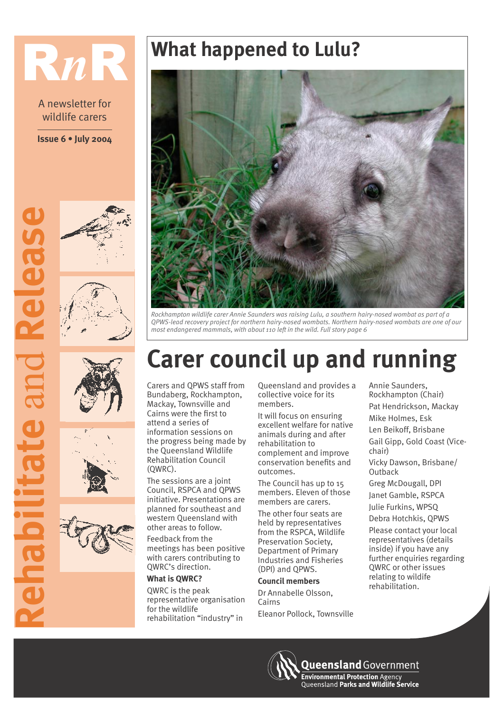# R*n*R **What happened to Lulu?**

A newsletter for wildlife carers

**Issue 6 July 2004**













*Rockhampton wildlife carer Annie Saunders was raising Lulu, a southern hairy-nosed wombat as part of a QPWS-lead recovery project for northern hairy-nosed wombats. Northern hairy-nosed wombats are one of our most endangered mammals, with about 110 left in the wild. Full story page 6*

### **Carer council up and running**

Carers and QPWS staff from Bundaberg, Rockhampton, Mackay, Townsville and Cairns were the first to attend a series of information sessions on the progress being made by the Queensland Wildlife Rehabilitation Council (QWRC).

The sessions are a joint Council, RSPCA and QPWS initiative. Presentations are planned for southeast and western Queensland with other areas to follow.

Feedback from the meetings has been positive with carers contributing to QWRC's direction.

### **What is QWRC?**

QWRC is the peak representative organisation for the wildlife rehabilitation "industry" in

Queensland and provides a collective voice for its members.

It will focus on ensuring excellent welfare for native animals during and after rehabilitation to complement and improve conservation benefits and outcomes.

The Council has up to 15 members. Eleven of those members are carers.

The other four seats are held by representatives from the RSPCA, Wildlife Preservation Society, Department of Primary Industries and Fisheries (DPI) and QPWS.

#### **Council members**

Dr Annabelle Olsson, Cairns Eleanor Pollock, Townsville

Annie Saunders, Rockhampton (Chair) Pat Hendrickson, Mackay Mike Holmes, Esk Len Beikoff, Brisbane Gail Gipp, Gold Coast (Vicechair) Vicky Dawson, Brisbane/ **Outback** Greg McDougall, DPI Janet Gamble, RSPCA Julie Furkins, WPSQ Debra Hotchkis, QPWS Please contact your local representatives (details inside) if you have any further enquiries regarding QWRC or other issues relating to wildife

**Queensland** Government

**Environmental Protection Agency Queensland Parks and Wildlife Service** 

rehabilitation.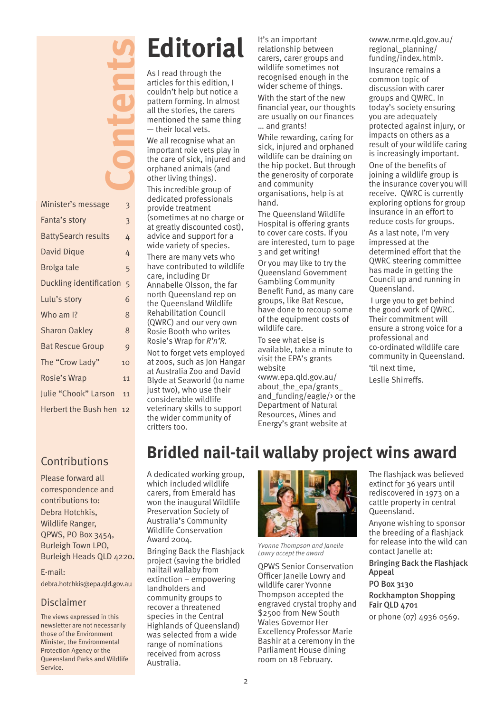|                            | <b>Contract</b> |
|----------------------------|-----------------|
|                            |                 |
| Minister's message         | 3               |
| Fanta's story              | 3               |
| <b>BattySearch results</b> | 4               |
| <b>David Dique</b>         | 4               |
| <b>Brolga tale</b>         | 5               |
| Duckling identification    | 5               |
| Lulu's story               | 6               |
| Who am I?                  | 8               |
| <b>Sharon Oakley</b>       | 8               |
| <b>Bat Rescue Group</b>    | 9               |
| The "Crow Lady"            | 10              |
| Rosie's Wrap               | 11              |
| Julie "Chook" Larson       | 11              |
| Herbert the Bush hen       | 12              |

## **Editorial**

As I read through the articles for this edition, I couldn't help but notice a pattern forming. In almost all the stories, the carers mentioned the same thing  $-$  their local vets.

We all recognise what an important role vets play in the care of sick, injured and orphaned animals (and other living things).

This incredible group of dedicated professionals provide treatment (sometimes at no charge or at greatly discounted cost), advice and support for a wide variety of species.

There are many vets who have contributed to wildlife care, including Dr Annabelle Olsson, the far north Queensland rep on the Queensland Wildlife Rehabilitation Council (QWRC) and our very own Rosie Booth who writes Rosie's Wrap for  $R'n'R$ .

Not to forget vets employed at zoos, such as Jon Hangar at Australia Zoo and David Blyde at Seaworld (to name just two), who use their considerable wildlife veterinary skills to support the wider community of critters too.

It's an important relationship between carers, carer groups and wildlife sometimes not recognised enough in the wider scheme of things.

With the start of the new financial year, our thoughts are usually on our finances ... and grants!

While rewarding, caring for sick, injured and orphaned wildlife can be draining on the hip pocket. But through the generosity of corporate and community organisations, help is at hand.

The Queensland Wildlife Hospital is offering grants to cover care costs. If you are interested, turn to page 3 and get writing!

Or you may like to try the Queensland Government Gambling Community Benefit Fund, as many care groups, like Bat Rescue, have done to recoup some of the equipment costs of wildlife care.

To see what else is available, take a minute to visit the EPA's grants website

<www.epa.qld.gov.au/ about the epa/grants and funding/eagle/ $\rightarrow$  or the Department of Natural Resources, Mines and Energy's grant website at

<www.nrme.qld.gov.au/ regional\_planning/ funding/index.html>.

Insurance remains a common topic of discussion with carer groups and QWRC. In today's society ensuring you are adequately protected against injury, or impacts on others as a result of your wildlife caring is increasingly important.

One of the benefits of joining a wildlife group is the insurance cover you will receive. QWRC is currently exploring options for group insurance in an effort to reduce costs for groups.

As a last note, I'm very impressed at the determined effort that the QWRC steering committee has made in getting the Council up and running in Queensland.

 I urge you to get behind the good work of QWRC. Their commitment will ensure a strong voice for a professional and co-ordinated wildlife care community in Queensland. til next time,

Leslie Shirreffs.

### **Contributions**

Please forward all correspondence and contributions to: Debra Hotchkis, Wildlife Ranger, QPWS, PO Box 3454, Burleigh Town LPO, Burleigh Heads QLD 4220.

E-mail:

debra.hotchkis@epa.qld.gov.au

### Disclaimer

The views expressed in this newsletter are not necessarily those of the Environment Minister, the Environmental Protection Agency or the Queensland Parks and Wildlife Service.

### **Bridled nail-tail wallaby project wins award**

A dedicated working group, which included wildlife carers, from Emerald has won the inaugural Wildlife Preservation Society of Australia's Community Wildlife Conservation Award 2004.

Bringing Back the Flashjack project (saving the bridled nailtail wallaby from  $extinction - empowering$ landholders and community groups to recover a threatened species in the Central Highlands of Queensland) was selected from a wide range of nominations received from across Australia.



*Yvonne Thompson and Janelle Lowry accept the award*

QPWS Senior Conservation Officer Janelle Lowry and wildlife carer Yvonne Thompson accepted the engraved crystal trophy and \$2500 from New South Wales Governor Her Excellency Professor Marie Bashir at a ceremony in the Parliament House dining room on 18 February.

The flashjack was believed extinct for 36 years until rediscovered in 1973 on a cattle property in central Queensland.

Anyone wishing to sponsor the breeding of a flashjack for release into the wild can contact Janelle at:

Bringing Back the Flashjack Appeal

PO Box 3130 Rockhampton Shopping Fair QLD 4701 or phone (07) 4936 0569.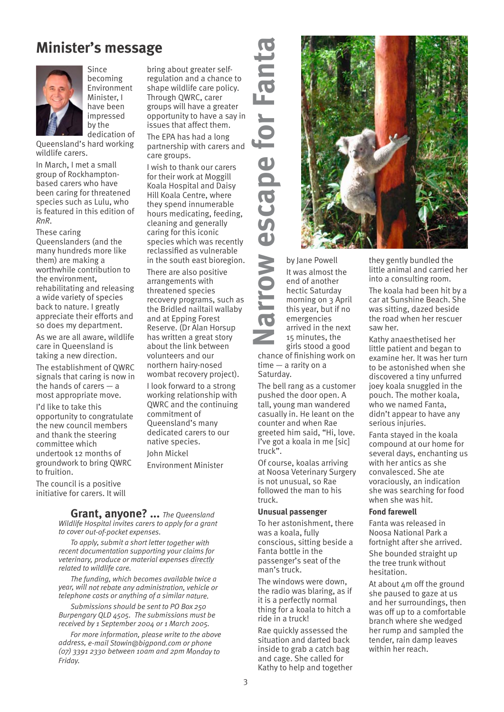### **Minister's message**



**Since** becoming Environment Minister, I have been impressed by the dedication of

**Queensland's hard working** wildlife carers.

In March, I met a small group of Rockhamptonbased carers who have been caring for threatened species such as Lulu, who is featured in this edition of *RnR*.

These caring Queenslanders (and the many hundreds more like them) are making a worthwhile contribution to the environment, rehabilitating and releasing a wide variety of species back to nature. I greatly appreciate their efforts and so does my department.

As we are all aware, wildlife care in Queensland is taking a new direction.

The establishment of QWRC signals that caring is now in the hands of carers  $-$  a most appropriate move.

I'd like to take this opportunity to congratulate the new council members and thank the steering committee which undertook 12 months of groundwork to bring QWRC to fruition.

The council is a positive initiative for carers. It will

bring about greater selfregulation and a chance to shape wildlife care policy. Through QWRC, carer groups will have a greater opportunity to have a say in issues that affect them.

The EPA has had a long partnership with carers and care groups.

I wish to thank our carers for their work at Moggill Koala Hospital and Daisy Hill Koala Centre, where they spend innumerable hours medicating, feeding, cleaning and generally caring for this iconic species which was recently reclassified as vulnerable in the south east bioregion.

There are also positive arrangements with threatened species recovery programs, such as the Bridled nailtail wallaby and at Epping Forest Reserve. (Dr Alan Horsup has written a great story about the link between volunteers and our northern hairy-nosed wombat recovery project). I look forward to a strong working relationship with QWRC and the continuing commitment of Oueensland's many dedicated carers to our native species. John Mickel Environment Minister

**Grant, anyone? ...** *The Queensland Wildlife Hospital invites carers to apply for a grant to cover out-of-pocket expenses.* 

*To apply, submit a short letter together with recent documentation supporting your claims for veterinary, produce or material expenses directly related to wildlife care.* 

*The funding, which becomes available twice a year, will not rebate any administration, vehicle or telephone costs or anything of a similar nature.* 

*Submissions should be sent to PO Box 250 Burpengary QLD 4505. The submissions must be received by 1 September 2004 or 1 March 2005.* 

*For more information, please write to the above address, e-mail Stowin@bigpond.com or phone (07) 3391 2330 between 10am and 2pm Monday to Friday.*



It was almost the end of another hectic Saturday morning on 3 April this year, but if no emergencies arrived in the next 15 minutes, the girls stood a good

chance of finishing work on  $time - a$  rarity on a Saturday.

The bell rang as a customer pushed the door open. A tall, young man wandered casually in. He leant on the counter and when Rae greeted him said, "Hi, love. Ive got a koala in me [sic] truck".

Of course, koalas arriving at Noosa Veterinary Surgery is not unusual, so Rae followed the man to his truck.

#### **Unusual passenger**

To her astonishment, there was a koala, fully conscious, sitting beside a Fanta bottle in the passenger's seat of the man's truck.

The windows were down, the radio was blaring, as if it is a perfectly normal thing for a koala to hitch a ride in a truck!

Rae quickly assessed the situation and darted back inside to grab a catch bag and cage. She called for Kathy to help and together

they gently bundled the little animal and carried her into a consulting room.

The koala had been hit by a car at Sunshine Beach. She was sitting, dazed beside the road when her rescuer saw her.

Kathy anaesthetised her little patient and began to examine her. It was her turn to be astonished when she discovered a tiny unfurred joey koala snuggled in the pouch. The mother koala, who we named Fanta, didn't appear to have any serious injuries.

Fanta stayed in the koala compound at our home for several days, enchanting us with her antics as she convalesced. She ate voraciously, an indication she was searching for food when she was hit.

#### **Fond farewell**

Fanta was released in Noosa National Park a fortnight after she arrived.

She bounded straight up the tree trunk without hesitation.

At about 4m off the ground she paused to gaze at us and her surroundings, then was off up to a comfortable branch where she wedged her rump and sampled the tender, rain damp leaves within her reach.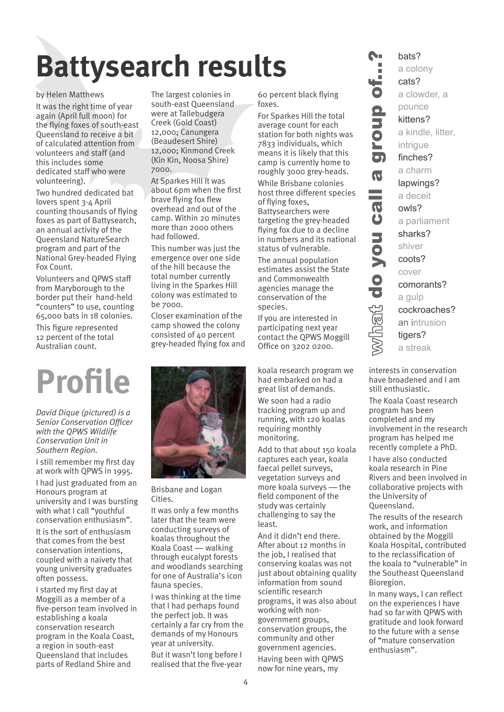# **Battysearch results**

### by Helen Matthews

It was the right time of year again (April full moon) for the flying foxes of south-east Queensland to receive a bit of calculated attention from volunteers and staff (and this includes some dedicated staff who were volunteering).

Two hundred dedicated bat lovers spent 3-4 April counting thousands of flying foxes as part of Battysearch, an annual activity of the Queensland NatureSearch program and part of the National Grey-headed Flying Fox Count.

Volunteers and QPWS staff from Maryborough to the border put their hand-held "counters" to use, counting 65,000 bats in 18 colonies. This figure represented 12 percent of the total Australian count.

*David Dique (pictured) is a Senior Conservation Officer with the QPWS Wildlife Conservation Unit in Southern Region.*

I still remember my first day at work with QPWS in 1995. I had just graduated from an Honours program at university and I was bursting with what I call "vouthful conservation enthusiasm".

It is the sort of enthusiasm that comes from the best conservation intentions, coupled with a naivety that young university graduates often possess.

I started my first day at Moggill as a member of a five-person team involved in establishing a koala conservation research program in the Koala Coast, a region in south-east Queensland that includes parts of Redland Shire and

The largest colonies in south-east Queensland were at Tallebudgera Creek (Gold Coast) 12,000; Canungera (Beaudesert Shire) 12,000; Kinmond Creek (Kin Kin, Noosa Shire) 7000.

At Sparkes Hill it was about 6pm when the first brave flying fox flew overhead and out of the camp. Within 20 minutes more than 2000 others had followed.

This number was just the emergence over one side of the hill because the total number currently living in the Sparkes Hill colony was estimated to be 7000.

Closer examination of the camp showed the colony consisted of 40 percent grey-headed flying fox and



Brisbane and Logan Cities.

It was only a few months later that the team were conducting surveys of koalas throughout the Koala Coast — walking through eucalypt forests and woodlands searching for one of Australia's icon fauna species.

I was thinking at the time that I had perhaps found the perfect job. It was certainly a far cry from the demands of my Honours year at university.

But it wasn't long before I realised that the five-year

60 percent black flying foxes.

For Sparkes Hill the total average count for each station for both nights was 7833 individuals, which means it is likely that this camp is currently home to roughly 3000 grey-heads.

While Brisbane colonies host three different species of flying foxes, Battysearchers were targeting the grey-headed flying fox due to a decline in numbers and its national status of vulnerable.

The annual population estimates assist the State and Commonwealth agencies manage the conservation of the species.

If you are interested in participating next year contact the QPWS Moggill Office on 3202 0200.

had embarked on had a great list of demands.

We soon had a radio tracking program up and running, with 120 koalas requiring monthly monitoring.

Add to that about 150 koala captures each year, koala faecal pellet surveys, vegetation surveys and more koala surveys — the field component of the study was certainly challenging to say the least.

And it didn't end there. After about 12 months in the job, I realised that conserving koalas was not just about obtaining quality information from sound scientific research programs, it was also about working with nongovernment groups, conservation groups, the community and other government agencies. Having been with QPWS now for nine years, my

a colo cats?<br>a colo cats?<br>a clow pounce kittens a kind intrigue finche a char lapwir a dece owls?<br>a parli sharks shiver coots? a parli sharks shiver coots?<br>a parli sharks shiver coots?<br>cover common a gulp cockre an intrige bats? a colony cats? a clowder, a pounce kittens? a kindle, litter, intrigue finches? a charm lapwings? a deceit owls? a parliament sharks? shiver coots? cover comorants? a gulp cockroaches? an intrusion tigers? a streak

A.

Ē ن<br>6

 $\overline{\mathbf{v}}$ 

 $\overline{\bm{\theta}}$  $\ddot{\mathbf{0}}$ 

vhat do you

interests in conservation have broadened and I am still enthusiastic.

The Koala Coast research program has been completed and my involvement in the research program has helped me recently complete a PhD.

I have also conducted koala research in Pine Rivers and been involved in collaborative projects with the University of Queensland.

The results of the research work, and information obtained by the Moggill Koala Hospital, contributed to the reclassification of the koala to "vulnerable" in the Southeast Queensland Bioregion.

In many ways, I can reflect on the experiences I have had so far with QPWS with gratitude and look forward to the future with a sense of mature conservation enthusiasm".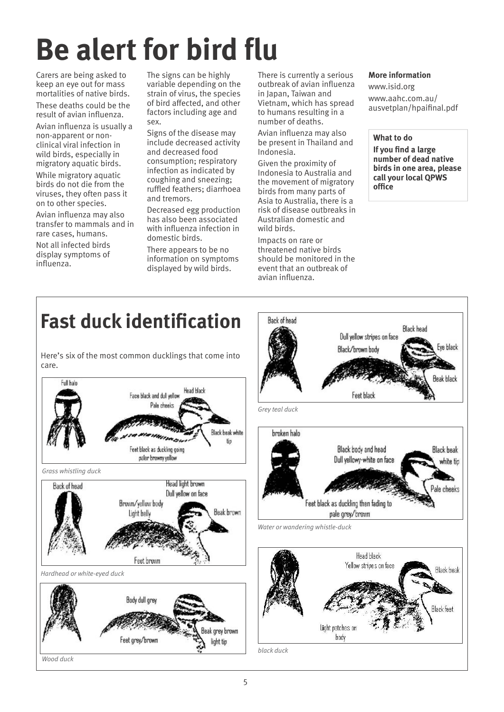## **Be alert for bird flu**

Carers are being asked to keep an eye out for mass mortalities of native birds.

These deaths could be the result of avian influenza.

Avian influenza is usually a non-apparent or nonclinical viral infection in wild birds, especially in migratory aquatic birds. While migratory aquatic birds do not die from the viruses, they often pass it on to other species.

Avian influenza may also transfer to mammals and in rare cases, humans. Not all infected birds display symptoms of influenza.

The signs can be highly variable depending on the strain of virus, the species of bird affected, and other factors including age and sex.

Signs of the disease may include decreased activity and decreased food consumption; respiratory infection as indicated by coughing and sneezing; ruffled feathers; diarrhoea and tremors.

Decreased egg production has also been associated with influenza infection in domestic birds.

There appears to be no information on symptoms displayed by wild birds.

There is currently a serious outbreak of avian influenza in Japan, Taiwan and Vietnam, which has spread to humans resulting in a number of deaths.

Avian influenza may also be present in Thailand and Indonesia.

Given the proximity of Indonesia to Australia and the movement of migratory birds from many parts of Asia to Australia, there is a risk of disease outbreaks in Australian domestic and wild birds.

Impacts on rare or threatened native birds should be monitored in the event that an outbreak of avian influenza.

**Back of head** 

### **More information**

www.isid.org www.aahc.com.au/ ausvetplan/hpaifinal.pdf

**What to do**

**If you find a large number of dead native birds in one area, please call your local QPWS office**

### **Fast duck identification**

Here's six of the most common ducklings that come into care.



**Black head** Dull yellow stripes on face Eve black Black/brown body **Beak black** Feet black *Grey teal duck* broken halo Black body and head **Black heak** Dull yellowy-white on face white tip Pale cheeks Feet black as duckling then fading to pale grey/brown *Water or wandering whistle-duck* Head hlack Yellow stripes on face **Black beak Black feet** Light patches on body *black duck*

*Wood duck*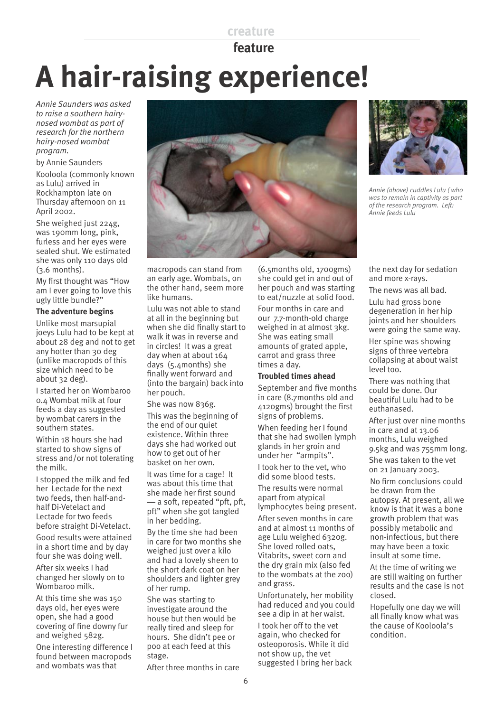### **creature**

### **feature**

# **A hair-raising experience!**

*Annie Saunders was asked to raise a southern hairynosed wombat as part of research for the northern hairy-nosed wombat program.*

#### by Annie Saunders

Kooloola (commonly known as Lulu) arrived in Rockhampton late on Thursday afternoon on 11 April 2002.

She weighed just 224g, was 190mm long, pink, furless and her eyes were sealed shut. We estimated she was only 110 days old (3.6 months).

My first thought was "How am I ever going to love this ugly little bundle?"

### **The adventure begins**

Unlike most marsupial joeys Lulu had to be kept at about 28 deg and not to get any hotter than 30 deg (unlike macropods of this size which need to be about 32 deg).

I started her on Wombaroo 0.4 Wombat milk at four feeds a day as suggested by wombat carers in the southern states.

Within 18 hours she had started to show signs of stress and/or not tolerating the milk.

I stopped the milk and fed her Lectade for the next two feeds, then half-andhalf Di-Vetelact and Lectade for two feeds before straight Di-Vetelact.

Good results were attained in a short time and by day four she was doing well. After six weeks I had changed her slowly on to Wombaroo milk.

At this time she was 150 days old, her eyes were open, she had a good covering of fine downy fur and weighed 582g. One interesting difference I found between macropods and wombats was that



macropods can stand from an early age. Wombats, on the other hand, seem more like humans.

Lulu was not able to stand at all in the beginning but when she did finally start to walk it was in reverse and in circles! It was a great day when at about 164 days (5.4months) she finally went forward and (into the bargain) back into her pouch.

She was now 836g.

This was the beginning of the end of our quiet existence. Within three days she had worked out how to get out of her basket on her own.

It was time for a cage! It was about this time that she made her first sound — a soft, repeated "pft, pft, pft" when she got tangled in her bedding.

By the time she had been in care for two months she weighed just over a kilo and had a lovely sheen to the short dark coat on her shoulders and lighter grey of her rump.

She was starting to investigate around the house but then would be really tired and sleep for hours. She didn't pee or poo at each feed at this stage.

After three months in care

(6.5months old, 1700gms) she could get in and out of her pouch and was starting to eat/nuzzle at solid food.

Four months in care and our 7.7-month-old charge weighed in at almost 3kg. She was eating small amounts of grated apple, carrot and grass three times a day.

### **Troubled times ahead**

September and five months in care (8.7months old and 4120gms) brought the first signs of problems. When feeding her I found

that she had swollen lymph glands in her groin and under her "armpits". I took her to the vet, who

did some blood tests.

The results were normal apart from atypical lymphocytes being present. After seven months in care and at almost 11 months of age Lulu weighed 6320g. She loved rolled oats, Vitabrits, sweet corn and the dry grain mix (also fed to the wombats at the zoo) and grass.

Unfortunately, her mobility had reduced and you could see a dip in at her waist. I took her off to the vet again, who checked for osteoporosis. While it did not show up, the vet suggested I bring her back



*Annie (above) cuddles Lulu ( who was to remain in captivity as part of the research program. Left: Annie feeds Lulu*

the next day for sedation and more x-rays.

The news was all bad.

Lulu had gross bone degeneration in her hip joints and her shoulders were going the same way.

Her spine was showing signs of three vertebra collapsing at about waist level too.

There was nothing that could be done. Our beautiful Lulu had to be euthanased.

After just over nine months in care and at 13.06 months, Lulu weighed 9.5kg and was 755mm long.

She was taken to the vet on 21 January 2003.

No firm conclusions could be drawn from the autopsy. At present, all we know is that it was a bone growth problem that was possibly metabolic and non-infectious, but there may have been a toxic insult at some time.

At the time of writing we are still waiting on further results and the case is not closed.

Hopefully one day we will all finally know what was the cause of Kooloola's condition.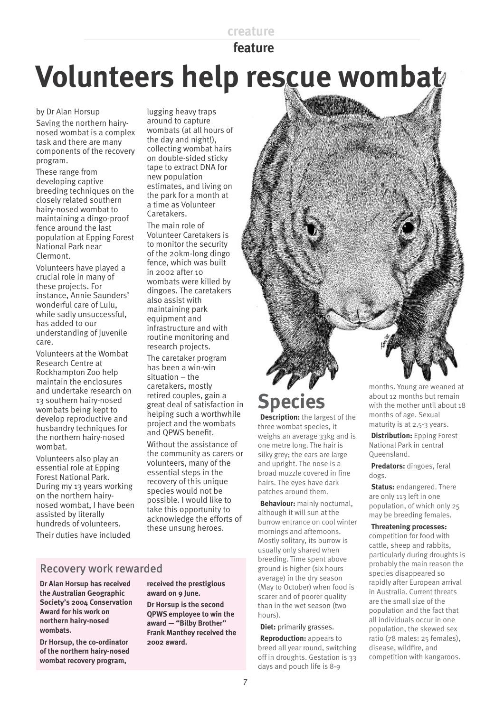### **creature**

 **feature**

## **Volunteers help rescue wombat**

by Dr Alan Horsup

Saving the northern hairynosed wombat is a complex task and there are many components of the recovery program.

These range from developing captive breeding techniques on the closely related southern hairy-nosed wombat to maintaining a dingo-proof fence around the last population at Epping Forest National Park near Clermont.

Volunteers have played a crucial role in many of these projects. For instance, Annie Saunders wonderful care of Lulu. while sadly unsuccessful, has added to our understanding of juvenile care.

Volunteers at the Wombat Research Centre at Rockhampton Zoo help maintain the enclosures and undertake research on 13 southern hairy-nosed wombats being kept to develop reproductive and husbandry techniques for the northern hairy-nosed wombat.

Volunteers also play an essential role at Epping Forest National Park. During my 13 years working on the northern hairynosed wombat, I have been assisted by literally hundreds of volunteers.

Their duties have included

lugging heavy traps around to capture wombats (at all hours of the day and night!), collecting wombat hairs on double-sided sticky tape to extract DNA for new population estimates, and living on the park for a month at a time as Volunteer Caretakers.

The main role of Volunteer Caretakers is to monitor the security of the 20km-long dingo fence, which was built in 2002 after 10 wombats were killed by dingoes. The caretakers also assist with maintaining park equipment and infrastructure and with routine monitoring and research projects. The caretaker program

has been a win-win  $situation - the$ caretakers, mostly retired couples, gain a great deal of satisfaction in helping such a worthwhile project and the wombats and QPWS benefit.

Without the assistance of the community as carers or volunteers, many of the essential steps in the recovery of this unique species would not be possible. I would like to take this opportunity to acknowledge the efforts of these unsung heroes.

### Recovery work rewarded

**Dr Alan Horsup has received the Australian Geographic Societys 2004 Conservation Award for his work on northern hairy-nosed wombats.** 

**Dr Horsup, the co-ordinator of the northern hairy-nosed wombat recovery program,** 

**received the prestigious award on 9 June. Dr Horsup is the second QPWS employee to win the**  award - "Bilby Brother" **Frank Manthey received the** 

**2002 award.** 

### **Species**

**Description:** the largest of the three wombat species, it weighs an average 33kg and is one metre long. The hair is silky grey; the ears are large and upright. The nose is a broad muzzle covered in fine hairs. The eyes have dark patches around them.

**Behaviour:** mainly nocturnal, although it will sun at the burrow entrance on cool winter mornings and afternoons. Mostly solitary, its burrow is usually only shared when breeding. Time spent above ground is higher (six hours average) in the dry season (May to October) when food is scarer and of poorer quality than in the wet season (two hours).

#### **Diet:** primarily grasses.

**Reproduction:** appears to breed all year round, switching off in droughts. Gestation is 33 days and pouch life is 8-9

months. Young are weaned at about 12 months but remain with the mother until about 18 months of age. Sexual maturity is at 2.5-3 years.

**Distribution:** Epping Forest National Park in central Queensland.

**Predators:** dingoes, feral dogs.

**Status:** endangered. There are only 113 left in one population, of which only 25 may be breeding females.

#### **Threatening processes:**  competition for food with cattle, sheep and rabbits,

particularly during droughts is probably the main reason the species disappeared so rapidly after European arrival in Australia. Current threats are the small size of the population and the fact that all individuals occur in one population, the skewed sex ratio (78 males: 25 females), disease, wildfire, and competition with kangaroos.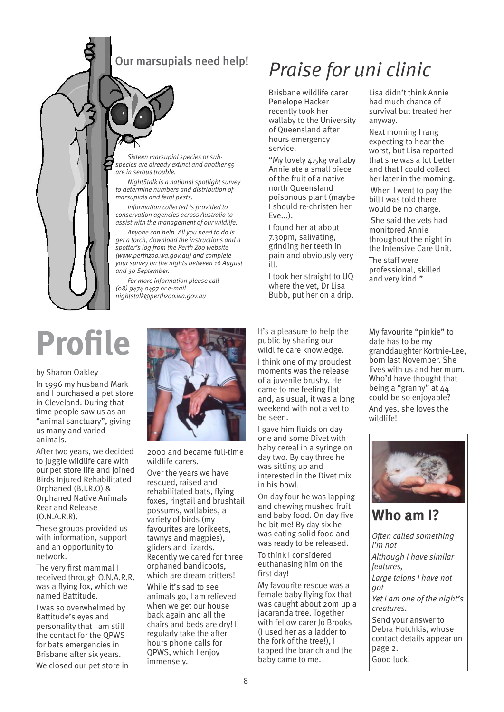### Our marsupials need help!

*Sixteen marsupial species or subspecies are already extinct and another 55 are in serous trouble.*

*NightStalk is a national spotlight survey to determine numbers and distribution of marsupials and feral pests.* 

*Information collected is provided to conservation agencies across Australia to assist with the management of our wildilfe.*

*Anyone can help. All you need to do is get a torch, download the instructions and a*  spotter's log from the Perth Zoo website *(www.perthzoo.wa.gov.au) and complete your survey on the nights between 16 August and 30 September.*

*For more information please call (08) 9474 0497 or e-mail nightstalk@perthzoo.wa.gov.au*

### *Praise for uni clinic*

Brisbane wildlife carer Penelope Hacker recently took her wallaby to the University of Queensland after hours emergency service.

My lovely 4.5kg wallaby Annie ate a small piece of the fruit of a native north Queensland poisonous plant (maybe I should re-christen her Eve...).

I found her at about 7.30pm, salivating, grinding her teeth in pain and obviously very ill.

I took her straight to UQ where the vet, Dr Lisa Bubb, put her on a drip.

Lisa didn't think Annie had much chance of survival but treated her anyway.

Next morning I rang expecting to hear the worst, but Lisa reported that she was a lot better and that I could collect her later in the morning.

 When I went to pay the bill I was told there would be no charge.

 She said the vets had monitored Annie throughout the night in the Intensive Care Unit.

The staff were professional, skilled and very kind.

## **Profile**

#### by Sharon Oakley

In 1996 my husband Mark and I purchased a pet store in Cleveland. During that time people saw us as an "animal sanctuary", giving us many and varied animals.

After two years, we decided to juggle wildlife care with our pet store life and joined Birds Injured Rehabilitated Orphaned (B.I.R.O) & Orphaned Native Animals Rear and Release (O.N.A.R.R).

These groups provided us with information, support and an opportunity to network.

The very first mammal I received through O.N.A.R.R. was a flying fox, which we named Battitude.

I was so overwhelmed by Battitude's eves and personality that I am still the contact for the QPWS for bats emergencies in Brisbane after six years.

We closed our pet store in



2000 and became full-time wildlife carers.

Over the years we have rescued, raised and rehabilitated bats, flying foxes, ringtail and brushtail possums, wallabies, a variety of birds (my favourites are lorikeets, tawnys and magpies), gliders and lizards. Recently we cared for three orphaned bandicoots, which are dream critters!

While it's sad to see animals go, I am relieved when we get our house back again and all the chairs and beds are dry! I regularly take the after hours phone calls for QPWS, which I enjoy immensely.

It's a pleasure to help the public by sharing our wildlife care knowledge. I think one of my proudest moments was the release of a juvenile brushy. He came to me feeling flat and, as usual, it was a long weekend with not a vet to be seen.

I gave him fluids on day one and some Divet with baby cereal in a syringe on day two. By day three he was sitting up and interested in the Divet mix in his bowl.

On day four he was lapping and chewing mushed fruit and baby food. On day five he bit me! By day six he was eating solid food and was ready to be released.

To think I considered euthanasing him on the first day!

My favourite rescue was a female baby flying fox that was caught about 20m up a jacaranda tree. Together with fellow carer Io Brooks (I used her as a ladder to the fork of the tree!), I tapped the branch and the baby came to me.

My favourite "pinkie" to date has to be my granddaughter Kortnie-Lee, born last November. She lives with us and her mum. Who'd have thought that being a "granny" at 44 could be so enjoyable?

And yes, she loves the wildlife!



### **Who am I?**

*Often called something Im not Although I have similar features, Large talons I have not got Yet I am one of the night's creatures.* Send your answer to Debra Hotchkis, whose contact details appear on page 2.

Good luck!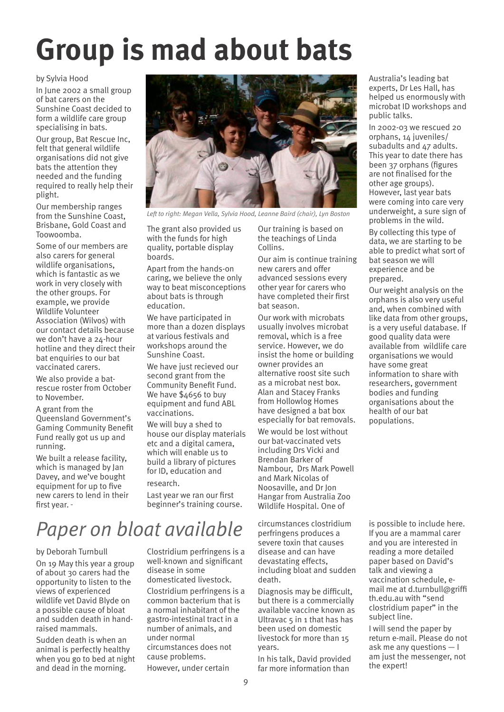## **Group is mad about bats**

### by Sylvia Hood

In June 2002 a small group of bat carers on the Sunshine Coast decided to form a wildlife care group specialising in bats.

Our group, Bat Rescue Inc, felt that general wildlife organisations did not give bats the attention they needed and the funding required to really help their plight.

Our membership ranges from the Sunshine Coast, Brisbane, Gold Coast and Toowoomba.

Some of our members are also carers for general wildlife organisations, which is fantastic as we work in very closely with the other groups. For example, we provide Wildlife Volunteer Association (Wilvos) with our contact details because we don't have a 24-hour hotline and they direct their bat enquiries to our bat vaccinated carers.

We also provide a batrescue roster from October to November.

A grant from the

Queensland Government's Gaming Community Benefit Fund really got us up and running.

We built a release facility, which is managed by Jan Davey, and we've bought equipment for up to five new carers to lend in their first year.



*Left to right: Megan Vella, Sylvia Hood, Leanne Baird (chair), Lyn Boston* 

The grant also provided us with the funds for high quality, portable display boards.

Apart from the hands-on caring, we believe the only way to beat misconceptions about bats is through education.

We have participated in more than a dozen displays at various festivals and workshops around the Sunshine Coast.

We have just recieved our second grant from the Community Benefit Fund. We have \$4656 to buy equipment and fund ABL vaccinations.

We will buy a shed to house our display materials etc and a digital camera, which will enable us to build a library of pictures for ID, education and research.

Last year we ran our first beginner's training course.

### *Paper on bloat available*

### by Deborah Turnbull

On 19 May this year a group of about 30 carers had the opportunity to listen to the views of experienced wildlife vet David Blyde on a possible cause of bloat and sudden death in handraised mammals.

Sudden death is when an animal is perfectly healthy when you go to bed at night and dead in the morning.

Clostridium perfringens is a well-known and significant disease in some domesticated livestock. Clostridium perfringens is a common bacterium that is a normal inhabitant of the gastro-intestinal tract in a number of animals, and under normal circumstances does not cause problems.

However, under certain

Our training is based on the teachings of Linda Collins.

Our aim is continue training new carers and offer advanced sessions every other year for carers who have completed their first bat season.

Our work with microbats usually involves microbat removal, which is a free service. However, we do insist the home or building owner provides an alternative roost site such as a microbat nest box. Alan and Stacey Franks from Hollowlog Homes have designed a bat box especially for bat removals. We would be lost without our bat-vaccinated vets including Drs Vicki and Brendan Barker of Nambour, Drs Mark Powell and Mark Nicolas of Noosaville, and Dr Jon Hangar from Australia Zoo Wildlife Hospital. One of

circumstances clostridium perfringens produces a severe toxin that causes disease and can have devastating effects, including bloat and sudden death.

Diagnosis may be difficult, but there is a commercially available vaccine known as Ultravac 5 in 1 that has has been used on domestic livestock for more than 15 years.

In his talk, David provided far more information than

Australia's leading bat experts, Dr Les Hall, has helped us enormously with microbat ID workshops and public talks.

In 2002-03 we rescued 20 orphans, 14 juveniles/ subadults and 47 adults. This year to date there has been 37 orphans (figures are not finalised for the other age groups). However, last year bats were coming into care very underweight, a sure sign of problems in the wild.

By collecting this type of data, we are starting to be able to predict what sort of bat season we will experience and be prepared.

Our weight analysis on the orphans is also very useful and, when combined with like data from other groups, is a very useful database. If good quality data were available from wildlife care organisations we would have some great information to share with researchers, government bodies and funding organisations about the health of our bat populations.

is possible to include here. If you are a mammal carer and you are interested in reading a more detailed paper based on David's talk and viewing a vaccination schedule, email me at d.turnbull@griffi th.edu.au with "send clostridium paper" in the subject line.

I will send the paper by return e-mail. Please do not ask me any questions  $-1$ am just the messenger, not the expert!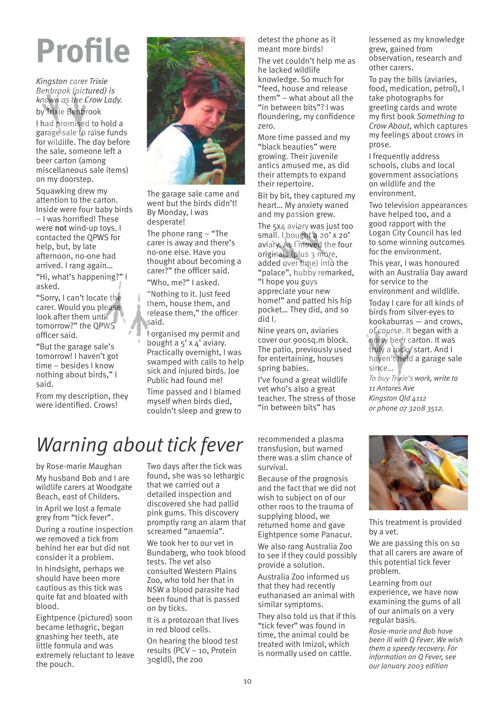*Kingston carer Trixie Benbrook (pictured) is known as the Crow Lady.* 

by Trixie Benbrook

I had promised to hold a garage sale to raise funds for wildlife. The day before the sale, someone left a beer carton (among miscellaneous sale items) on my doorstep.

Squawking drew my attention to the carton. Inside were four baby birds - I was horrified! These were not wind-up toys. I contacted the QPWS for help, but, by late afternoon, no-one had arrived. I rang again

"Hi, what's happening?" I asked.

"Sorry, I can't locate the carer. Would you please look after them until tomorrow?" the OPWS officer said.

"But the garage sale's tomorrow! I haven't got time - besides I know nothing about birds," I said.

From my description, they were identified. Crows!



The garage sale came and went but the birds didn't! By Monday, I was desperate!

The phone rang  $-$  "The carer is away and there's no-one else. Have you thought about becoming a carer?" the officer said. "Who, me?" I asked.

Nothing to it. Just feed them, house them, and release them," the officer said.

I organised my permit and bought a  $5'$  x  $4'$  aviary. Practically overnight, I was swamped with calls to help sick and injured birds. Joe Public had found me!

Time passed and I blamed myself when birds died, couldn't sleep and grew to detest the phone as it meant more birds!

The vet couldn't help me as he lacked wildlife knowledge. So much for feed, house and release them" $-$  what about all the "in between bits"? I was floundering, my confidence zero.

More time passed and my "black beauties" were growing. Their juvenile antics amused me, as did their attempts to expand their repertoire.

Bit by bit, they captured my heart... My anxiety waned and my passion grew.

The 5x4 aviary was just too small. I bought a 20' x 20' aviary. As I moved the four originals (plus 3 more, added over time) into the "palace", hubby remarked, "I hope you guys appreciate your new home!" and patted his hip pocket... They did, and so did I.

Nine years on, aviaries cover our 900sq.m block. The patio, previously used for entertaining, houses spring babies.

Ive found a great wildlife vet who's also a great teacher. The stress of those "in between bits" has

grew, gained from observation, research and other carers.

To pay the bills (aviaries, food, medication, petrol), I take photographs for greeting cards and wrote my first book *Something to Crow About*, which captures my feelings about crows in prose.

I frequently address schools, clubs and local government associations on wildlife and the environment.

Two television appearances have helped too, and a good rapport with the Logan City Council has led to some winning outcomes for the environment.

This year, I was honoured with an Australia Day award for service to the environment and wildlife.

Today I care for all kinds of birds from silver-eyes to  $kookaburras - and crows,$ of course. It began with a noisy beer carton. It was truly a rocky start. And I haven't held a garage sale since...

*To buy Trixies work, write to 11 Antares Ave Kingston Qld 4112 or phone 07 3208 3512.*

### *Warning about tick fever*

by Rose-marie Maughan My husband Bob and I are wildlife carers at Woodgate Beach, east of Childers. In April we lost a female grey from "tick fever".

During a routine inspection we removed a tick from behind her ear but did not consider it a problem.

In hindsight, perhaps we should have been more cautious as this tick was quite fat and bloated with blood.

Eightpence (pictured) soon became lethagric, began gnashing her teeth, ate little formula and was extremely reluctant to leave the pouch.

Two days after the tick was found, she was so lethargic that we carried out a detailed inspection and discovered she had pallid pink gums. This discovery promptly rang an alarm that screamed "anaemia".

We took her to our vet in Bundaberg, who took blood tests. The vet also consulted Western Plains Zoo, who told her that in NSW a blood parasite had been found that is passed on by ticks.

It is a protozoan that lives in red blood cells.

On hearing the blood test results (PCV  $-$  10, Protein 30gldl), the zoo

recommended a plasma transfusion, but warned there was a slim chance of survival.

Because of the prognosis and the fact that we did not wish to subject on of our other roos to the trauma of supplying blood, we returned home and gave Eightpence some Panacur.

We also rang Australia Zoo to see if they could possibly provide a solution.

Australia Zoo informed us that they had recently euthanased an animal with similar symptoms.

They also told us that if this "tick fever" was found in time, the animal could be treated with Imizol, which is normally used on cattle.



This treatment is provided by a vet.

We are passing this on so that all carers are aware of this potential tick fever problem.

Learning from our experience, we have now examining the gums of all of our animals on a very regular basis.

*Rosie-marie and Bob have been ill with Q Fever. We wish them a speedy recovery. For information on Q Fever, see our January 2003 edition*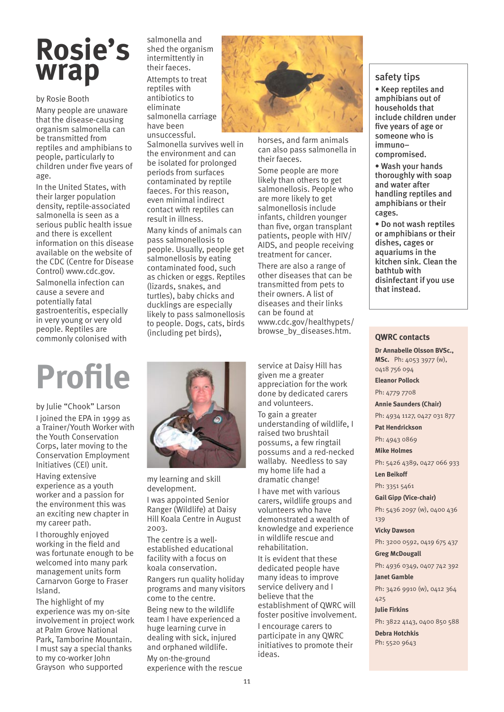### **Rosie's wrap**

by Rosie Booth

Many people are unaware that the disease-causing organism salmonella can be transmitted from reptiles and amphibians to people, particularly to children under five years of age.

In the United States, with their larger population density, reptile-associated salmonella is seen as a serious public health issue and there is excellent information on this disease available on the website of the CDC (Centre for Disease Control) www.cdc.gov.

Salmonella infection can cause a severe and potentially fatal gastroenteritis, especially in very young or very old people. Reptiles are commonly colonised with

salmonella and shed the organism intermittently in their faeces. Attempts to treat

reptiles with antibiotics to eliminate salmonella carriage have been unsuccessful.

Salmonella survives well in the environment and can be isolated for prolonged periods from surfaces contaminated by reptile faeces. For this reason, even minimal indirect contact with reptiles can result in illness.

Many kinds of animals can pass salmonellosis to people. Usually, people get salmonellosis by eating contaminated food, such as chicken or eggs. Reptiles (lizards, snakes, and turtles), baby chicks and ducklings are especially likely to pass salmonellosis to people. Dogs, cats, birds (including pet birds),



horses, and farm animals can also pass salmonella in their faeces.

Some people are more likely than others to get salmonellosis. People who are more likely to get salmonellosis include infants, children younger than five, organ transplant patients, people with HIV/ AIDS, and people receiving treatment for cancer.

There are also a range of other diseases that can be transmitted from pets to their owners. A list of diseases and their links can be found at www.cdc.gov/healthypets/ browse\_by\_diseases.htm.

### safety tips

 Keep reptiles and amphibians out of households that include children under five years of age or someone who is immuno compromised.

 Wash your hands thoroughly with soap and water after handling reptiles and amphibians or their cages.

 Do not wash reptiles or amphibians or their dishes, cages or aquariums in the kitchen sink. Clean the bathtub with disinfectant if you use that instead.

### **QWRC contacts**

**Dr Annabelle Olsson BVSc., MSc.** Ph: 4053 3977 (w), 0418 756 094 **Eleanor Pollock** Ph: 4779 7708 **Annie Saunders (Chair)** Ph: 4934 1127, 0427 031 877 **Pat Hendrickson**  Ph: 4943 0869 **Mike Holmes** Ph: 5426 4389, 0427 066 933 **Len Beikoff** Ph: 3351 5461 **Gail Gipp (Vice-chair)** Ph: 5436 2097 (w), 0400 436 139 **Vicky Dawson** Ph: 3200 0592, 0419 675 437 **Greg McDougall**  Ph: 4936 0349, 0407 742 392 **Janet Gamble** Ph: 3426 9910 (w), 0412 364 425 **Julie Firkins**

Ph: 3822 4143, 0400 850 588 **Debra Hotchkis** 

Ph: 5520 9643

## **Profile**

by Julie "Chook" Larson I joined the EPA in 1999 as a Trainer/Youth Worker with the Youth Conservation Corps, later moving to the Conservation Employment Initiatives (CEI) unit.

Having extensive experience as a youth worker and a passion for the environment this was an exciting new chapter in my career path.

I thoroughly enjoyed working in the field and was fortunate enough to be welcomed into many park management units form Carnarvon Gorge to Fraser Island.

The highlight of my experience was my on-site involvement in project work at Palm Grove National Park, Tamborine Mountain. I must say a special thanks to my co-worker John Grayson who supported



my learning and skill development.

I was appointed Senior Ranger (Wildlife) at Daisy Hill Koala Centre in August 2003.

The centre is a wellestablished educational facility with a focus on koala conservation.

Rangers run quality holiday programs and many visitors come to the centre.

Being new to the wildlife team I have experienced a huge learning curve in dealing with sick, injured and orphaned wildlife.

My on-the-ground experience with the rescue service at Daisy Hill has given me a greater appreciation for the work done by dedicated carers and volunteers.

To gain a greater understanding of wildlife, I raised two brushtail possums, a few ringtail possums and a red-necked wallaby. Needless to say my home life had a dramatic change!

I have met with various carers, wildlife groups and volunteers who have demonstrated a wealth of knowledge and experience in wildlife rescue and rehabilitation.

It is evident that these dedicated people have many ideas to improve service delivery and I believe that the establishment of QWRC will foster positive involvement.

I encourage carers to participate in any QWRC initiatives to promote their ideas.